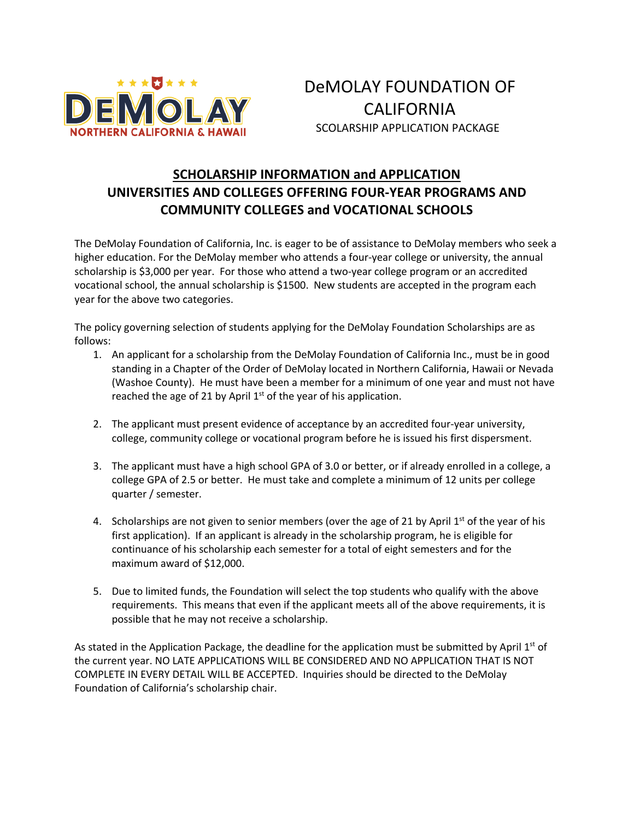

DeMOLAY FOUNDATION OF **CALIFORNIA** SCOLARSHIP APPLICATION PACKAGE

#### **SCHOLARSHIP INFORMATION and APPLICATION UNIVERSITIES AND COLLEGES OFFERING FOUR-YEAR PROGRAMS AND COMMUNITY COLLEGES and VOCATIONAL SCHOOLS**

The DeMolay Foundation of California, Inc. is eager to be of assistance to DeMolay members who seek a higher education. For the DeMolay member who attends a four-year college or university, the annual scholarship is \$3,000 per year. For those who attend a two-year college program or an accredited vocational school, the annual scholarship is \$1500. New students are accepted in the program each year for the above two categories.

The policy governing selection of students applying for the DeMolay Foundation Scholarships are as follows:

- 1. An applicant for a scholarship from the DeMolay Foundation of California Inc., must be in good standing in a Chapter of the Order of DeMolay located in Northern California, Hawaii or Nevada (Washoe County). He must have been a member for a minimum of one year and must not have reached the age of 21 by April  $1<sup>st</sup>$  of the year of his application.
- 2. The applicant must present evidence of acceptance by an accredited four-year university, college, community college or vocational program before he is issued his first dispersment.
- 3. The applicant must have a high school GPA of 3.0 or better, or if already enrolled in a college, a college GPA of 2.5 or better. He must take and complete a minimum of 12 units per college quarter / semester.
- 4. Scholarships are not given to senior members (over the age of 21 by April  $1^{st}$  of the year of his first application). If an applicant is already in the scholarship program, he is eligible for continuance of his scholarship each semester for a total of eight semesters and for the maximum award of \$12,000.
- 5. Due to limited funds, the Foundation will select the top students who qualify with the above requirements. This means that even if the applicant meets all of the above requirements, it is possible that he may not receive a scholarship.

As stated in the Application Package, the deadline for the application must be submitted by April  $1<sup>st</sup>$  of the current year. NO LATE APPLICATIONS WILL BE CONSIDERED AND NO APPLICATION THAT IS NOT COMPLETE IN EVERY DETAIL WILL BE ACCEPTED. Inquiries should be directed to the DeMolay Foundation of California's scholarship chair.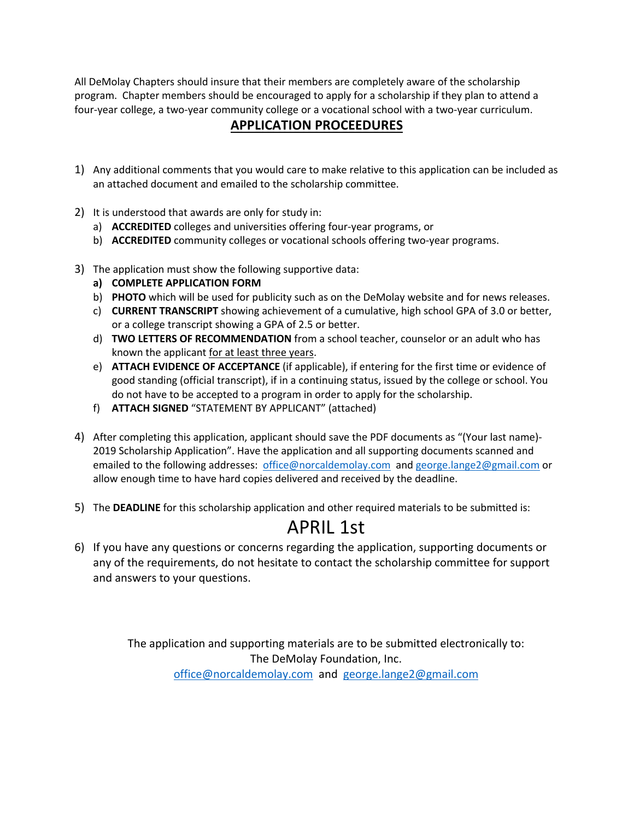All DeMolay Chapters should insure that their members are completely aware of the scholarship program. Chapter members should be encouraged to apply for a scholarship if they plan to attend a four-year college, a two-year community college or a vocational school with a two-year curriculum.

#### **APPLICATION PROCEEDURES**

- 1) Any additional comments that you would care to make relative to this application can be included as an attached document and emailed to the scholarship committee.
- 2) It is understood that awards are only for study in:
	- a) **ACCREDITED** colleges and universities offering four-year programs, or
	- b) **ACCREDITED** community colleges or vocational schools offering two-year programs.
- 3) The application must show the following supportive data:
	- **a) COMPLETE APPLICATION FORM**
	- b) **PHOTO** which will be used for publicity such as on the DeMolay website and for news releases.
	- c) **CURRENT TRANSCRIPT** showing achievement of a cumulative, high school GPA of 3.0 or better, or a college transcript showing a GPA of 2.5 or better.
	- d) **TWO LETTERS OF RECOMMENDATION** from a school teacher, counselor or an adult who has known the applicant for at least three years.
	- e) **ATTACH EVIDENCE OF ACCEPTANCE** (if applicable), if entering for the first time or evidence of good standing (official transcript), if in a continuing status, issued by the college or school. You do not have to be accepted to a program in order to apply for the scholarship.
	- f) **ATTACH SIGNED** "STATEMENT BY APPLICANT" (attached)
- 4) After completing this application, applicant should save the PDF documents as "(Your last name)- 2019 Scholarship Application". Have the application and all supporting documents scanned and emailed to the following addresses: office@norcaldemolay.com and george.lange2@gmail.com or allow enough time to have hard copies delivered and received by the deadline.
- 5) The **DEADLINE** for this scholarship application and other required materials to be submitted is:

## APRIL 1st

6) If you have any questions or concerns regarding the application, supporting documents or any of the requirements, do not hesitate to contact the scholarship committee for support and answers to your questions.

> The application and supporting materials are to be submitted electronically to: The DeMolay Foundation, Inc. office@norcaldemolay.com and george.lange2@gmail.com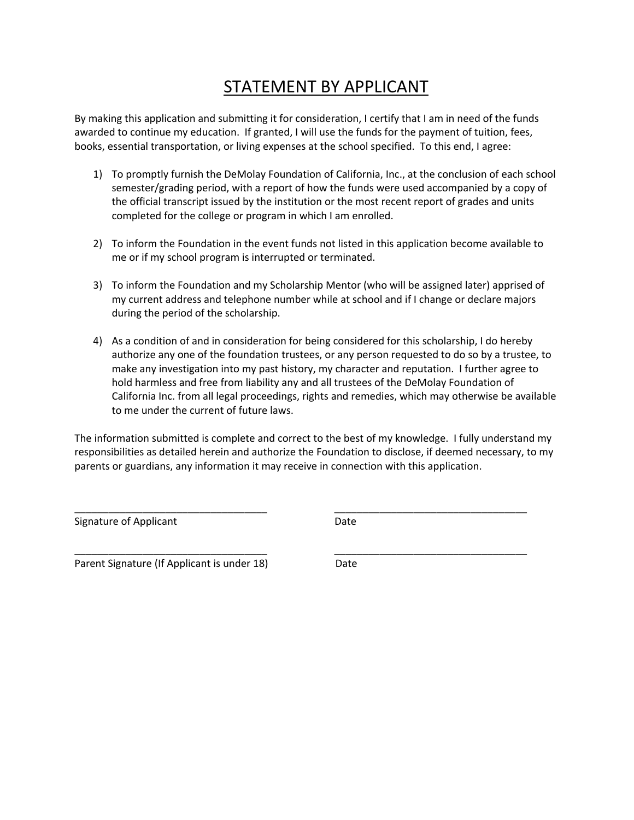## STATEMENT BY APPLICANT

By making this application and submitting it for consideration, I certify that I am in need of the funds awarded to continue my education. If granted, I will use the funds for the payment of tuition, fees, books, essential transportation, or living expenses at the school specified. To this end, I agree:

- 1) To promptly furnish the DeMolay Foundation of California, Inc., at the conclusion of each school semester/grading period, with a report of how the funds were used accompanied by a copy of the official transcript issued by the institution or the most recent report of grades and units completed for the college or program in which I am enrolled.
- 2) To inform the Foundation in the event funds not listed in this application become available to me or if my school program is interrupted or terminated.
- 3) To inform the Foundation and my Scholarship Mentor (who will be assigned later) apprised of my current address and telephone number while at school and if I change or declare majors during the period of the scholarship.
- 4) As a condition of and in consideration for being considered for this scholarship, I do hereby authorize any one of the foundation trustees, or any person requested to do so by a trustee, to make any investigation into my past history, my character and reputation. I further agree to hold harmless and free from liability any and all trustees of the DeMolay Foundation of California Inc. from all legal proceedings, rights and remedies, which may otherwise be available to me under the current of future laws.

The information submitted is complete and correct to the best of my knowledge. I fully understand my responsibilities as detailed herein and authorize the Foundation to disclose, if deemed necessary, to my parents or guardians, any information it may receive in connection with this application.

\_\_\_\_\_\_\_\_\_\_\_\_\_\_\_\_\_\_\_\_\_\_\_\_\_\_\_\_\_\_\_\_\_\_ \_\_\_\_\_\_\_\_\_\_\_\_\_\_\_\_\_\_\_\_\_\_\_\_\_\_\_\_\_\_\_\_\_\_

\_\_\_\_\_\_\_\_\_\_\_\_\_\_\_\_\_\_\_\_\_\_\_\_\_\_\_\_\_\_\_\_\_\_ \_\_\_\_\_\_\_\_\_\_\_\_\_\_\_\_\_\_\_\_\_\_\_\_\_\_\_\_\_\_\_\_\_\_

Signature of Applicant Date Date

Parent Signature (If Applicant is under 18) Date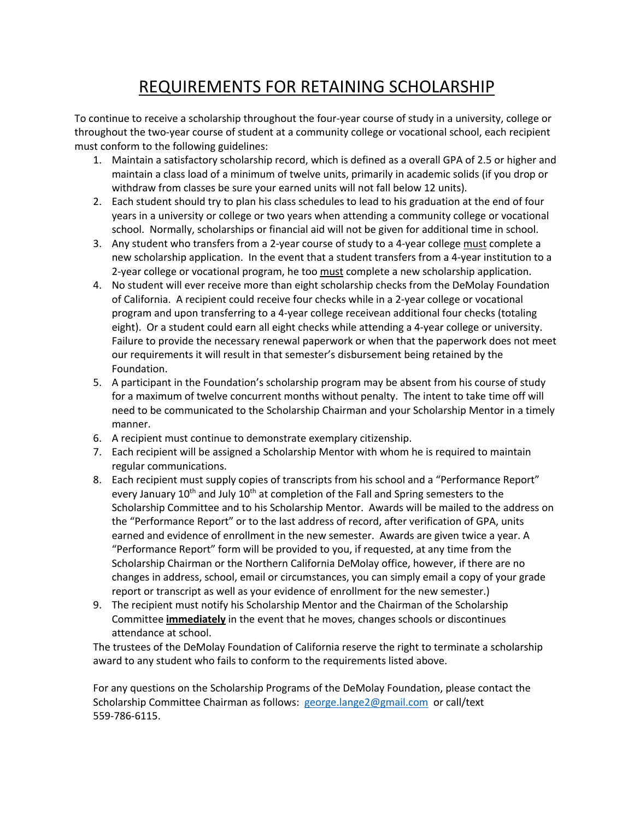## REQUIREMENTS FOR RETAINING SCHOLARSHIP

To continue to receive a scholarship throughout the four-year course of study in a university, college or throughout the two-year course of student at a community college or vocational school, each recipient must conform to the following guidelines:

- 1. Maintain a satisfactory scholarship record, which is defined as a overall GPA of 2.5 or higher and maintain a class load of a minimum of twelve units, primarily in academic solids (if you drop or withdraw from classes be sure your earned units will not fall below 12 units).
- 2. Each student should try to plan his class schedules to lead to his graduation at the end of four years in a university or college or two years when attending a community college or vocational school. Normally, scholarships or financial aid will not be given for additional time in school.
- 3. Any student who transfers from a 2-year course of study to a 4-year college must complete a new scholarship application. In the event that a student transfers from a 4-year institution to a 2-year college or vocational program, he too must complete a new scholarship application.
- 4. No student will ever receive more than eight scholarship checks from the DeMolay Foundation of California. A recipient could receive four checks while in a 2-year college or vocational program and upon transferring to a 4-year college receivean additional four checks (totaling eight). Or a student could earn all eight checks while attending a 4-year college or university. Failure to provide the necessary renewal paperwork or when that the paperwork does not meet our requirements it will result in that semester's disbursement being retained by the Foundation.
- 5. A participant in the Foundation's scholarship program may be absent from his course of study for a maximum of twelve concurrent months without penalty. The intent to take time off will need to be communicated to the Scholarship Chairman and your Scholarship Mentor in a timely manner.
- 6. A recipient must continue to demonstrate exemplary citizenship.
- 7. Each recipient will be assigned a Scholarship Mentor with whom he is required to maintain regular communications.
- 8. Each recipient must supply copies of transcripts from his school and a "Performance Report" every January 10<sup>th</sup> and July 10<sup>th</sup> at completion of the Fall and Spring semesters to the Scholarship Committee and to his Scholarship Mentor. Awards will be mailed to the address on the "Performance Report" or to the last address of record, after verification of GPA, units earned and evidence of enrollment in the new semester. Awards are given twice a year. A "Performance Report" form will be provided to you, if requested, at any time from the Scholarship Chairman or the Northern California DeMolay office, however, if there are no changes in address, school, email or circumstances, you can simply email a copy of your grade report or transcript as well as your evidence of enrollment for the new semester.)
- 9. The recipient must notify his Scholarship Mentor and the Chairman of the Scholarship Committee **immediately** in the event that he moves, changes schools or discontinues attendance at school.

The trustees of the DeMolay Foundation of California reserve the right to terminate a scholarship award to any student who fails to conform to the requirements listed above.

For any questions on the Scholarship Programs of the DeMolay Foundation, please contact the Scholarship Committee Chairman as follows: george.lange2@gmail.com or call/text 559-786-6115.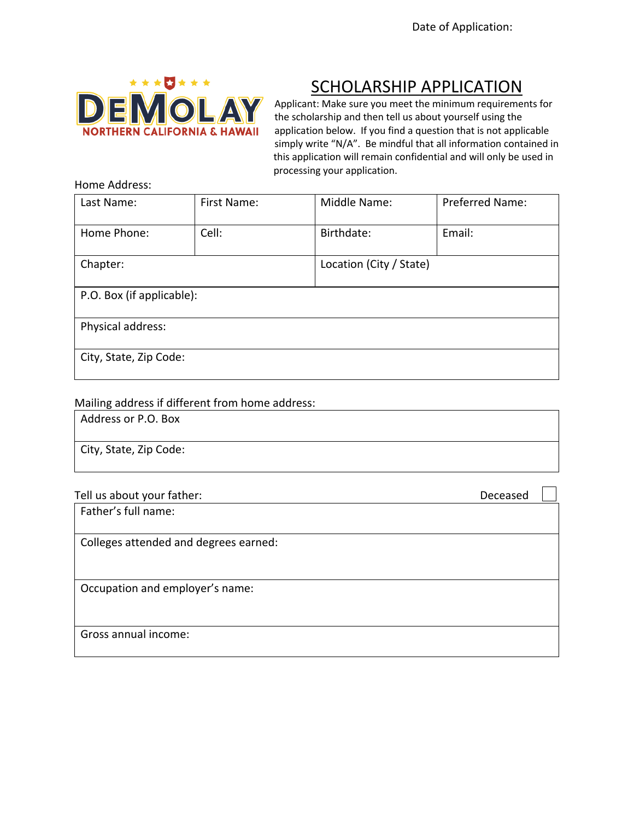

# SCHOLARSHIP APPLICATION

Applicant: Make sure you meet the minimum requirements for the scholarship and then tell us about yourself using the application below. If you find a question that is not applicable simply write "N/A". Be mindful that all information contained in this application will remain confidential and will only be used in processing your application.

| Last Name:                | First Name: | Middle Name:            | Preferred Name: |  |
|---------------------------|-------------|-------------------------|-----------------|--|
| Home Phone:               | Cell:       | Birthdate:              | Email:          |  |
| Chapter:                  |             | Location (City / State) |                 |  |
| P.O. Box (if applicable): |             |                         |                 |  |
| Physical address:         |             |                         |                 |  |
| City, State, Zip Code:    |             |                         |                 |  |

#### Mailing address if different from home address:

Address or P.O. Box

City, State, Zip Code:

| Tell us about your father: | Deceased |
|----------------------------|----------|
|                            |          |

Father's full name:

Colleges attended and degrees earned:

Occupation and employer's name:

Gross annual income: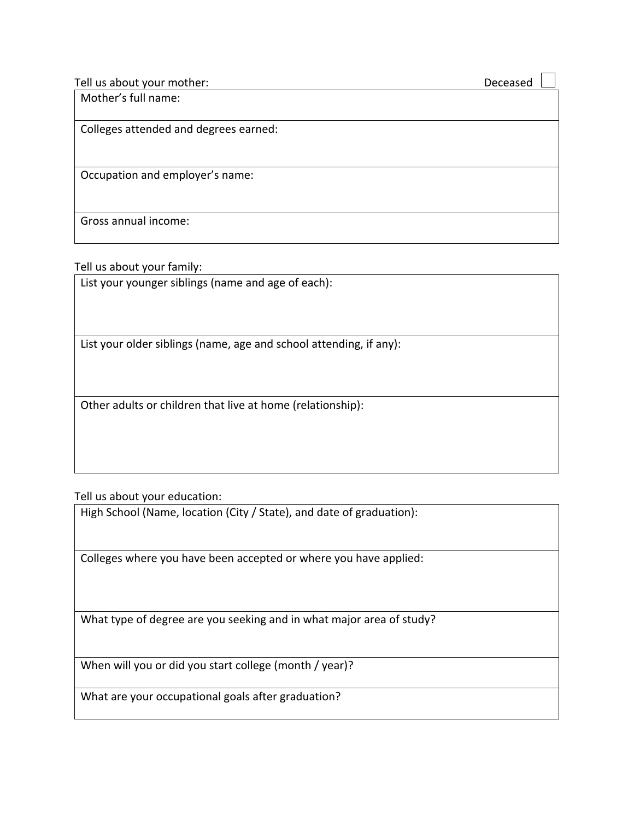Tell us about your mother: Deceased

Mother's full name:

Colleges attended and degrees earned:

Occupation and employer's name:

Gross annual income:

Tell us about your family:

List your younger siblings (name and age of each):

List your older siblings (name, age and school attending, if any):

Other adults or children that live at home (relationship):

Tell us about your education:

High School (Name, location (City / State), and date of graduation):

Colleges where you have been accepted or where you have applied:

What type of degree are you seeking and in what major area of study?

When will you or did you start college (month / year)?

What are your occupational goals after graduation?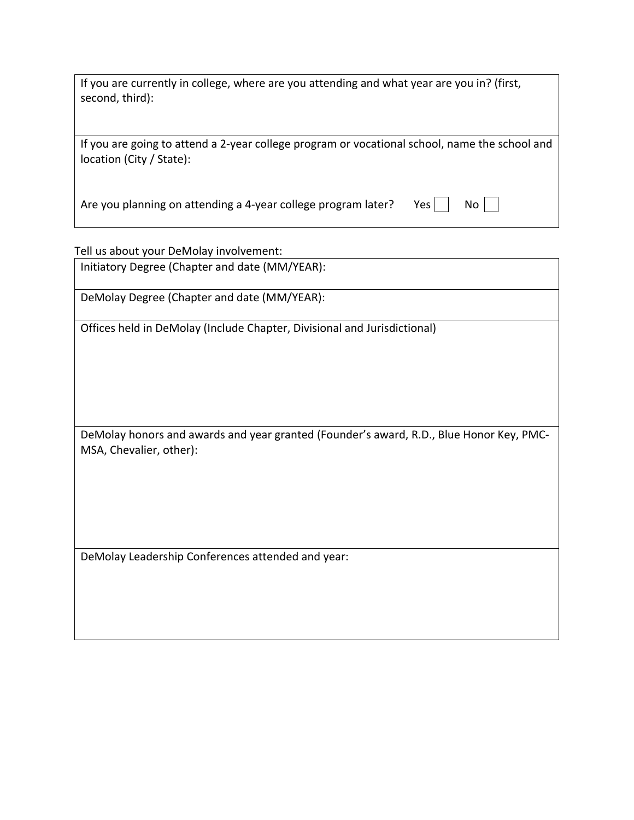If you are currently in college, where are you attending and what year are you in? (first, second, third):

If you are going to attend a 2-year college program or vocational school, name the school and location (City / State):

Are you planning on attending a 4-year college program later? Yes  $\vert$  No  $\vert$ 

Tell us about your DeMolay involvement:

Initiatory Degree (Chapter and date (MM/YEAR):

DeMolay Degree (Chapter and date (MM/YEAR):

Offices held in DeMolay (Include Chapter, Divisional and Jurisdictional)

DeMolay honors and awards and year granted (Founder's award, R.D., Blue Honor Key, PMC-MSA, Chevalier, other):

DeMolay Leadership Conferences attended and year: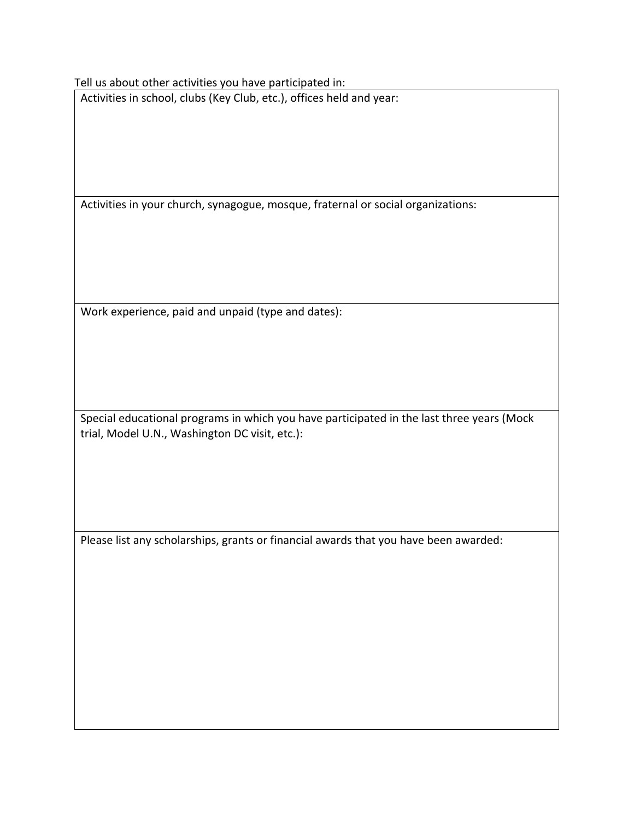Tell us about other activities you have participated in:

Activities in school, clubs (Key Club, etc.), offices held and year:

Activities in your church, synagogue, mosque, fraternal or social organizations:

Work experience, paid and unpaid (type and dates):

Special educational programs in which you have participated in the last three years (Mock trial, Model U.N., Washington DC visit, etc.):

Please list any scholarships, grants or financial awards that you have been awarded: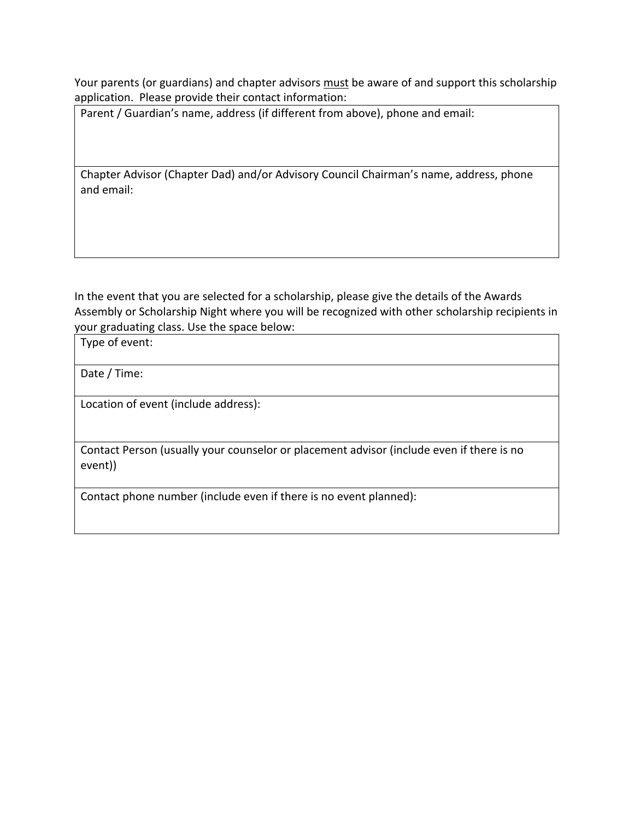Your parents (or guardians) and chapter advisors must be aware of and support this scholarship application. Please provide their contact information:

Parent / Guardian's name, address (if different from above), phone and email:

Chapter Advisor (Chapter Dad) and/or Advisory Council Chairman's name, address, phone and email:

In the event that you are selected for a scholarship, please give the details of the Awards Assembly or Scholarship Night where you will be recognized with other scholarship recipients in your graduating class. Use the space below:

Type of event:

Date / Time:

Location of event (include address):

Contact Person (usually your counselor or placement advisor (include even if there is no event))

Contact phone number (include even if there is no event planned):